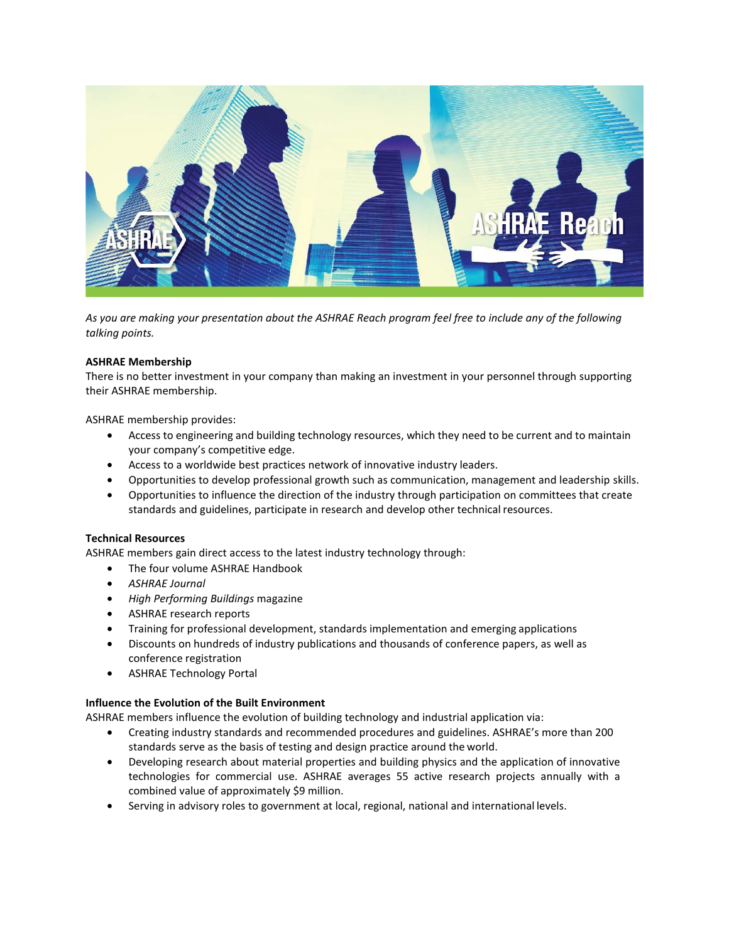

*As you are making your presentation about the ASHRAE Reach program feel free to include any of the following talking points.*

### **ASHRAE Membership**

There is no better investment in your company than making an investment in your personnel through supporting their ASHRAE membership.

ASHRAE membership provides:

- Access to engineering and building technology resources, which they need to be current and to maintain your company's competitive edge.
- Access to a worldwide best practices network of innovative industry leaders.
- Opportunities to develop professional growth such as communication, management and leadership skills.
- Opportunities to influence the direction of the industry through participation on committees that create standards and guidelines, participate in research and develop other technical resources.

### **Technical Resources**

ASHRAE members gain direct access to the latest industry technology through:

- The four volume ASHRAE Handbook
- *ASHRAE Journal*
- *High Performing Buildings* magazine
- ASHRAE research reports
- Training for professional development, standards implementation and emerging applications
- Discounts on hundreds of industry publications and thousands of conference papers, as well as conference registration
- ASHRAE Technology Portal

#### **Influence the Evolution of the Built Environment**

ASHRAE members influence the evolution of building technology and industrial application via:

- Creating industry standards and recommended procedures and guidelines. ASHRAE's more than 200 standards serve as the basis of testing and design practice around the world.
- Developing research about material properties and building physics and the application of innovative technologies for commercial use. ASHRAE averages 55 active research projects annually with a combined value of approximately \$9 million.
- Serving in advisory roles to government at local, regional, national and international levels.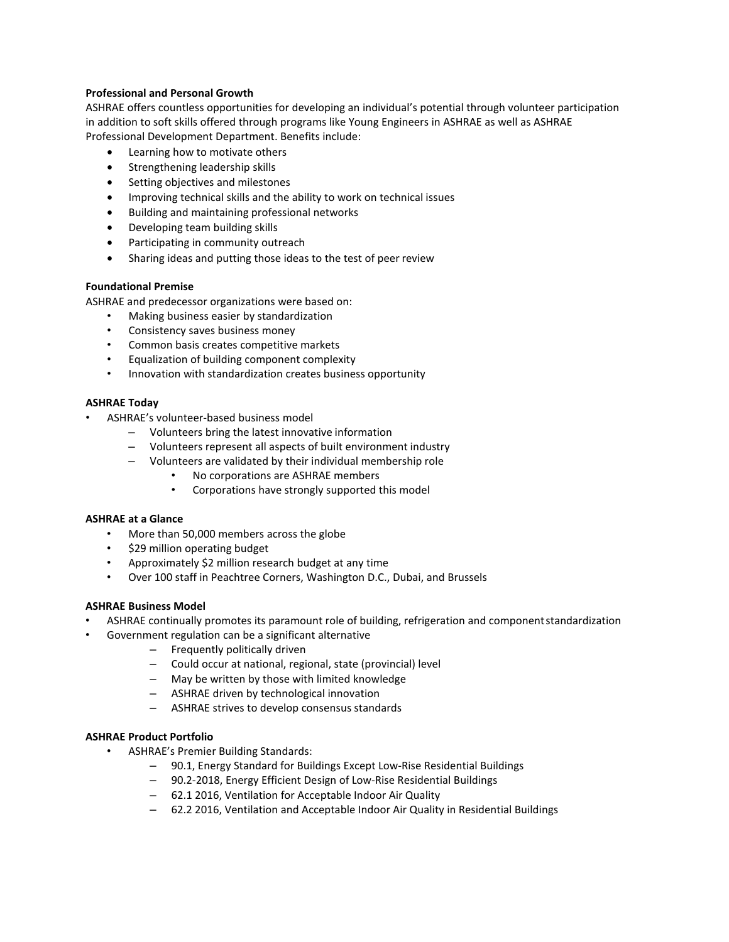### **Professional and Personal Growth**

ASHRAE offers countless opportunities for developing an individual's potential through volunteer participation in addition to soft skills offered through programs like Young Engineers in ASHRAE as well as ASHRAE Professional Development Department. Benefits include:

- Learning how to motivate others
- Strengthening leadership skills
- Setting objectives and milestones
- Improving technical skills and the ability to work on technical issues
- Building and maintaining professional networks
- Developing team building skills
- Participating in community outreach
- Sharing ideas and putting those ideas to the test of peer review

# **Foundational Premise**

ASHRAE and predecessor organizations were based on:

- Making business easier by standardization
- Consistency saves business money
- Common basis creates competitive markets
- Equalization of building component complexity
- Innovation with standardization creates business opportunity

# **ASHRAE Today**

- ASHRAE's volunteer-based business model
	- Volunteers bring the latest innovative information
	- Volunteers represent all aspects of built environment industry
	- Volunteers are validated by their individual membership role
		- No corporations are ASHRAE members
		- Corporations have strongly supported this model

#### **ASHRAE at a Glance**

- More than 50,000 members across the globe
- \$29 million operating budget
- Approximately \$2 million research budget at any time
- Over 100 staff in Peachtree Corners, Washington D.C., Dubai, and Brussels

#### **ASHRAE Business Model**

- ASHRAE continually promotes its paramount role of building, refrigeration and componentstandardization
- Government regulation can be a significant alternative
	- Frequently politically driven
	- Could occur at national, regional, state (provincial) level
	- May be written by those with limited knowledge
	- ASHRAE driven by technological innovation
	- ASHRAE strives to develop consensus standards

# **ASHRAE Product Portfolio**

- ASHRAE's Premier Building Standards:
	- 90.1, Energy Standard for Buildings Except Low-Rise Residential Buildings
	- 90.2-2018, Energy Efficient Design of Low-Rise Residential Buildings
	- 62.1 2016, Ventilation for Acceptable Indoor Air Quality
	- 62.2 2016, Ventilation and Acceptable Indoor Air Quality in Residential Buildings